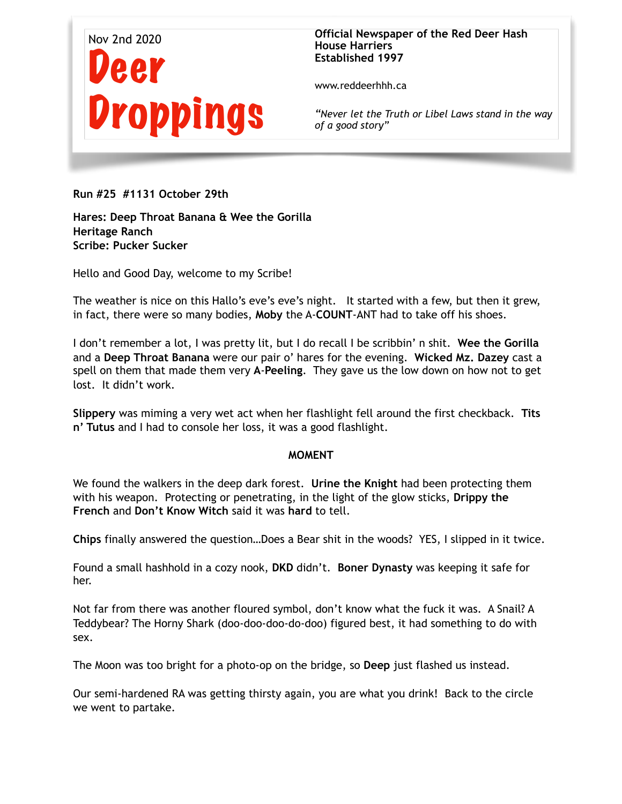

**Official Newspaper of the Red Deer Hash House Harriers Established 1997** 

www.reddeerhhh.ca

*"Never let the Truth or Libel Laws stand in the way of a good story"*

**Run #25 #1131 October 29th** 

**Hares: Deep Throat Banana & Wee the Gorilla Heritage Ranch Scribe: Pucker Sucker** 

Hello and Good Day, welcome to my Scribe!

The weather is nice on this Hallo's eve's eve's night. It started with a few, but then it grew, in fact, there were so many bodies, **Moby** the A-**COUNT**-ANT had to take off his shoes.

I don't remember a lot, I was pretty lit, but I do recall I be scribbin' n shit. **Wee the Gorilla**  and a **Deep Throat Banana** were our pair o' hares for the evening. **Wicked Mz. Dazey** cast a spell on them that made them very **A**-**Peeling**. They gave us the low down on how not to get lost. It didn't work.

**Slippery** was miming a very wet act when her flashlight fell around the first checkback. **Tits n' Tutus** and I had to console her loss, it was a good flashlight.

## **MOMENT**

We found the walkers in the deep dark forest. **Urine the Knight** had been protecting them with his weapon. Protecting or penetrating, in the light of the glow sticks, **Drippy the French** and **Don't Know Witch** said it was **hard** to tell.

**Chips** finally answered the question…Does a Bear shit in the woods? YES, I slipped in it twice.

Found a small hashhold in a cozy nook, **DKD** didn't. **Boner Dynasty** was keeping it safe for her.

Not far from there was another floured symbol, don't know what the fuck it was. A Snail? A Teddybear? The Horny Shark (doo-doo-doo-do-doo) figured best, it had something to do with sex.

The Moon was too bright for a photo-op on the bridge, so **Deep** just flashed us instead.

Our semi-hardened RA was getting thirsty again, you are what you drink! Back to the circle we went to partake.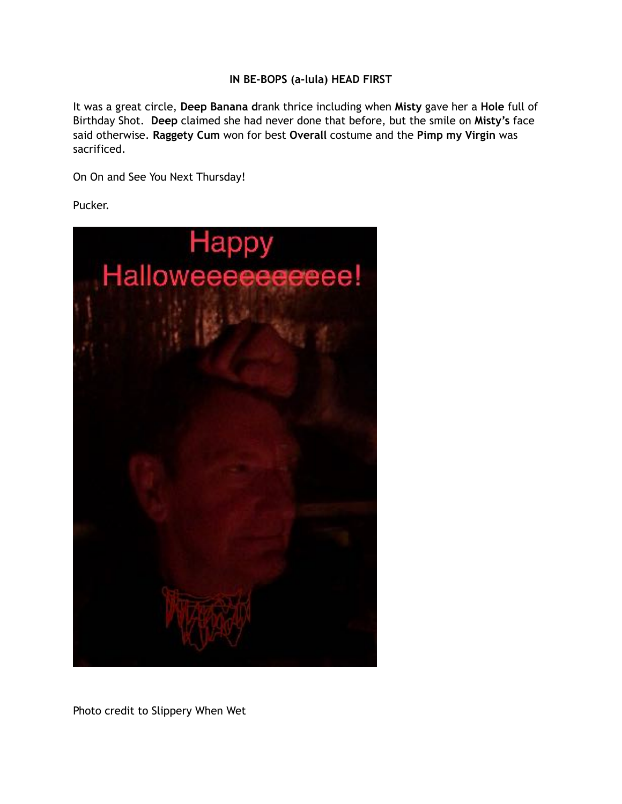## **IN BE-BOPS (a-lula) HEAD FIRST**

It was a great circle, **Deep Banana d**rank thrice including when **Misty** gave her a **Hole** full of Birthday Shot. **Deep** claimed she had never done that before, but the smile on **Misty's** face said otherwise. **Raggety Cum** won for best **Overall** costume and the **Pimp my Virgin** was sacrificed.

On On and See You Next Thursday!

Pucker.



Photo credit to Slippery When Wet